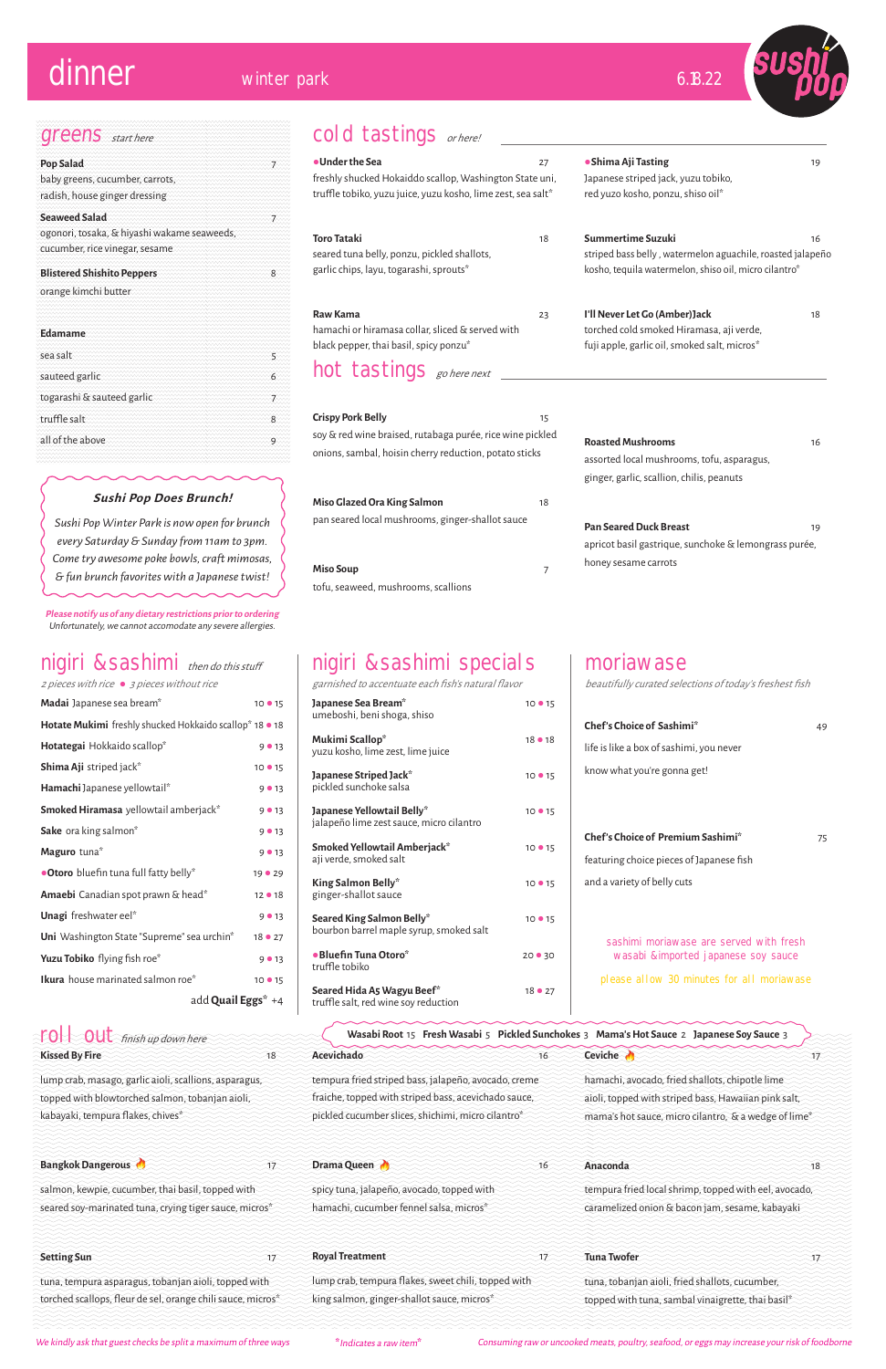| Pop Salad<br>baby greens, cucumber, carrots,<br>radish, house ginger dressing                         | 7 |
|-------------------------------------------------------------------------------------------------------|---|
| <b>Seaweed Salad</b><br>ogonori, tosaka, & hiyashi wakame seaweeds,<br>cucumber, rice vinegar, sesame | 7 |
| <b>Blistered Shishito Peppers</b>                                                                     | 8 |
| orange kimchi butter                                                                                  |   |
| Edamame                                                                                               |   |
| sea salt                                                                                              | 5 |
| sauteed garlic                                                                                        | 6 |
| togarashi & sauteed garlic                                                                            | 7 |
| truffle salt                                                                                          | 8 |
| all of the above                                                                                      | 9 |

salmon, kewpie, cucumber, thai basil, topped with seared soy-marinated tuna, crying tiger sauce, micros\*

#### **Setting Sun** 2002 2002 2002 2002 2017 tuna, tempura asparagus, tobanjan aioli, topped with torched scallops, fleur de sel, orange chili sauce, micros\*

Acevichado 16 Ceviche 17

topped with blowtorched salmon, tobanjan aioli, kabayaki, tempura flakes, chives\*

**Bangkok Dangerous** 

**Anaconda** 18 tempura fried local shrimp, topped with eel, avocado,

#### Tuna Twofer **17 March 18 August 2017** tuna, tobanjan aioli, fried shallots, cucumber,

tempura fried striped bass, jalapeño, avocado, creme fraiche, topped with striped bass, acevichado sauce, pickled cucumber slices, shichimi, micro cilantro\*

**Royal Treatment** 

spicy tuna, jalapeño, avocado, topped with hamachi, cucumber fennel salsa, micros\*

lump crab, tempura flakes, sweet chili, topped with

**Drama Queen 16** 2022 16

king salmon, ginger-shallot sauce, micros\*

hamachi, avocado, fried shallots, chipotle lime aioli, topped with striped bass, Hawaiian pink salt, mama's hot sauce, micro cilantro, & a wedge of lime\*

#### Kissed By Fire **18** lump crab, masago, garlic aioli, scallions, asparagus, roll outfinish up down here **Wasabi Root** 15 **Fresh Wasabi** <sup>5</sup> **Pickled Sunchokes** <sup>3</sup> **Mama's Hot Sauce** <sup>2</sup>**Japanese Soy Sauce** <sup>3</sup>

caramelized onion & bacon jam, sesame, kabayaki

topped with tuna, sambal vinaigrette, thai basil\*

**Crispy Pork Belly** 15

| $\bullet$ Under the Sea<br>freshly shucked Hokaiddo scallop, Washington State uni,<br>truffle tobiko, yuzu juice, yuzu kosho, lime zest, sea salt* | 27 | • Shima Aji Tasting<br>Japanese striped jack, yuzu tobiko,<br>red yuzo kosho, ponzu, shiso oil*                                        | 19 |
|----------------------------------------------------------------------------------------------------------------------------------------------------|----|----------------------------------------------------------------------------------------------------------------------------------------|----|
| Toro Tataki<br>seared tuna belly, ponzu, pickled shallots,<br>garlic chips, layu, togarashi, sprouts*                                              | 18 | Summertime Suzuki<br>striped bass belly, watermelon aguachile, roasted jalape<br>kosho, tequila watermelon, shiso oil, micro cilantro* | 16 |
| Raw Kama<br>hamachi or hiramasa collar, sliced & served with<br>black pepper, thai basil, spicy ponzu*                                             | 23 | I'll Never Let Go (Amber) Jack<br>torched cold smoked Hiramasa, aji verde,<br>fuji apple, garlic oil, smoked salt, micros*             | 18 |
| hot tastings $_{go\,here\,next}$                                                                                                                   |    |                                                                                                                                        |    |

## **Suzuki** 16 ss belly , watermelon aguachile, roasted jalapeño uila watermelon, shiso oil, micro cilantro $^\ast$ **Iet Go (Amber)Jack** 18  $b$ ld smoked Hiramasa, aji verde,

| Japanese Sea Bream*<br>umeboshi, beni shoga, shiso                     | $10 \bullet 15$ |
|------------------------------------------------------------------------|-----------------|
| Mukimi Scallop*<br>yuzu kosho, lime zest, lime juice                   | $18 \bullet 18$ |
| Japanese Striped Jack*<br>pickled sunchoke salsa                       | $10 \bullet 15$ |
| Japanese Yellowtail Belly*<br>jalapeño lime zest sauce, micro cilantro | $10 \bullet 15$ |
| Smoked Yellowtail Amberjack*<br>aji verde, smoked salt                 | $10 \bullet 15$ |
| King Salmon Belly*<br>ginger-shallot sauce                             | $10 \bullet 15$ |
| Seared King Salmon Belly*<br>bourbon barrel maple syrup, smoked salt   | $10 \bullet 15$ |
| • Bluefin Tuna Otoro*<br>truffle tobiko                                | $20 \bullet 30$ |
| Seared Hida A5 Wagyu Beef*<br>truffle salt, red wine sov reduction     | $18 \bullet 27$ |

| <b>Madai</b> Japanese sea bream <sup>*</sup>                  | 10 ● 15         |
|---------------------------------------------------------------|-----------------|
| Hotate Mukimi freshly shucked Hokkaido scallop* 18 · 18       |                 |
| <b>Hotategai</b> Hokkaido scallop <sup>*</sup>                | 9 13            |
| <b>Shima Aji</b> striped jack*                                | 10 ● 15         |
| <b>Hamachi</b> Japanese yellowtail*                           | 9 13            |
| Smoked Hiramasa yellowtail amberjack*                         | 9 13            |
| Sake ora king salmon*                                         | 9 13            |
| Maguro tuna*                                                  | $9 - 13$        |
| <b>. Otoro</b> bluefin tuna full fatty belly*                 | $19 \bullet 29$ |
| <b>Amaebi</b> Canadian spot prawn & head*                     | 12 ● 18         |
| Unagi freshwater eel*                                         | 9 13            |
| <b>Uni</b> Washington State "Supreme" sea urchin <sup>*</sup> | $18 \bullet 27$ |
| Yuzu Tobiko flying fish roe*                                  | 9 13            |
| <b>Ikura</b> house marinated salmon roe*                      | $10 \bullet 15$ |
|                                                               |                 |

#### add **Quail Eggs\*** +4

### $\epsilon$ eens start here cold tastings or here!

**Please notify us of any dietary restrictions prior to ordering** Unfortunately, we cannot accomodate any severe allergies.

# nigiri & sashimi then do this stuff

# dinner

Consuming raw or uncooked meats, poultry, seafood, or eggs may increase your risk of foodborne

### winter park

## onions, sambal, hoisin cherry reduction, potato sticks

**Miso Soup** 7

| soy & red wine braised, rutabaga purée, rice wine pickled<br>onions, sambal, hoisin cherry reduction, potato sticks |    | <b>Roasted Mushrooms</b><br>assorted local mushrooms, tofu, asparagus,<br>ginger, garlic, scallion, chilis, peanuts | 16 |
|---------------------------------------------------------------------------------------------------------------------|----|---------------------------------------------------------------------------------------------------------------------|----|
| Miso Glazed Ora King Salmon                                                                                         | 18 |                                                                                                                     |    |
| pan seared local mushrooms, ginger-shallot sauce                                                                    |    | <b>Pan Seared Duck Breast</b>                                                                                       | 19 |
|                                                                                                                     |    | apricot basil gastrique, sunchoke & lemongrass purée,                                                               |    |

# nigiri & sashimi then do this stuff<br>2 pieces with rice • 3 pieces without rice<br>2 pieces with rice • 3 pieces without rice

tofu, seaweed, mushrooms, scallions

honey sesame carrots

We kindly ask that guest checks be split a maximum of three ways



#### **Sushi Pop Does Brunch!**

*Sushi Pop Winter Park is now open for brunch every Saturday & Sunday from 11am to 3pm. Come try awesome poke bowls, craft mimosas, & fun brunch favorites with a Japanese twist!*

| <b>Chef's Choice of Sashimi*</b>                                                | 49 |
|---------------------------------------------------------------------------------|----|
| life is like a box of sashimi, you never                                        |    |
| know what you're gonna get!                                                     |    |
|                                                                                 |    |
|                                                                                 |    |
| <b>Chef's Choice of Premium Sashimi*</b>                                        | 75 |
| featuring choice pieces of Japanese fish                                        |    |
| and a variety of belly cuts                                                     |    |
|                                                                                 |    |
|                                                                                 |    |
| sashimi moriawase are served with fresh<br>wasabi & imported japanese soy sauce |    |
| please allow 30 minutes for all moriawase                                       |    |
|                                                                                 |    |

#### moriawase

beautifully curated selections of today's freshest fish

**\***Indicates a raw item**\***